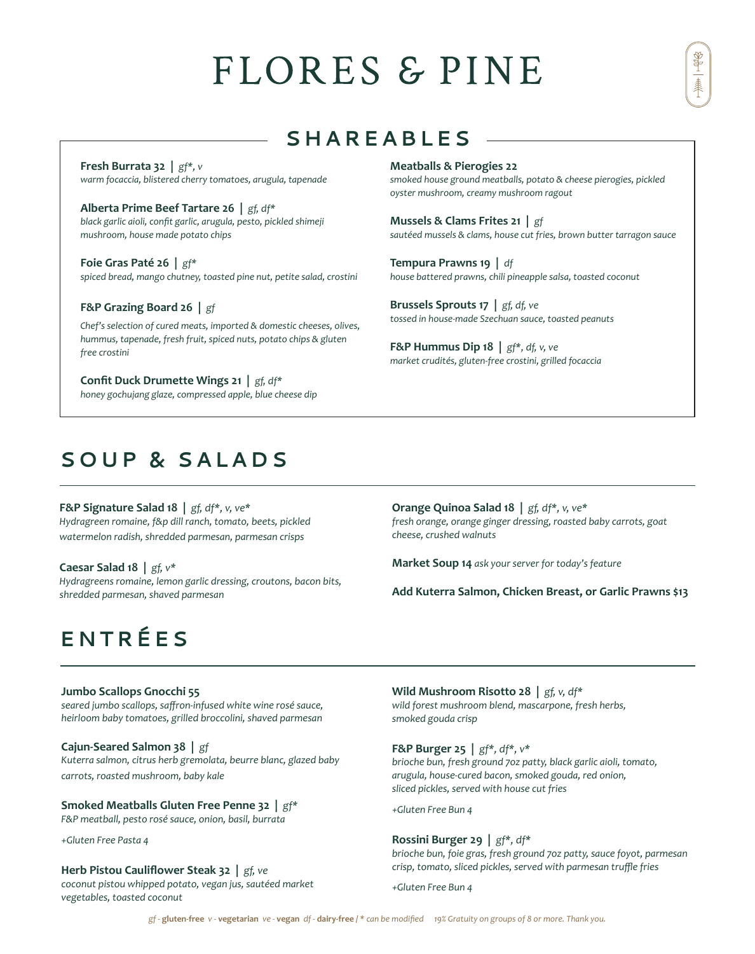# FLORES & PINE

## **SHAREABLES**

**Meatballs & Pierogies 22**

**Tempura Prawns 19 |** *df*

*oyster mushroom, creamy mushroom ragout*

**Mussels & Clams Frites 21 |** *gf*

**Brussels Sprouts 17 |** *gf, df, ve*

**F&P Hummus Dip 18 |** *gf\*, df, v, ve*

**Fresh Burrata 32 |** *gf\*, v warm focaccia, blistered cherry tomatoes, arugula, tapenade*

**Alberta Prime Beef Tartare 26 |** *gf, df\* black garlic aioli, confit garlic, arugula, pesto, pickled shimeji mushroom, house made potato chips*

**Foie Gras Paté 26 |** *gf\* spiced bread, mango chutney, toasted pine nut, petite salad, crostini*

**F&P Grazing Board 26 |** *gf*

*Chef's selection of cured meats, imported & domestic cheeses, olives, hummus, tapenade, fresh fruit, spiced nuts, potato chips & gluten free crostini*

**Confit Duck Drumette Wings 21 |** *gf, df\* honey gochujang glaze, compressed apple, blue cheese dip*

## **SOUP & SALADS**

**F&P Signature Salad 18 |** *gf, df\*, v, ve\* Hydragreen romaine, f&p dill ranch, tomato, beets, pickled watermelon radish, shredded parmesan, parmesan crisps*

### **Caesar Salad 18 |** *gf, v\**

*Hydragreens romaine, lemon garlic dressing, croutons, bacon bits, shredded parmesan, shaved parmesan*

**Orange Quinoa Salad 18 |** *gf, df\*, v, ve\* fresh orange, orange ginger dressing, roasted baby carrots, goat cheese, crushed walnuts* 

*smoked house ground meatballs, potato & cheese pierogies, pickled* 

*sautéed mussels & clams, house cut fries, brown butter tarragon sauce*

*house battered prawns, chili pineapple salsa, toasted coconut*

*tossed in house-made Szechuan sauce, toasted peanuts* 

*market crudités, gluten-free crostini, grilled focaccia*

**Market Soup 14** *ask your server for today's feature* 

**Add Kuterra Salmon, Chicken Breast, or Garlic Prawns \$13** 

## **ENTRÉ E S**

#### **Jumbo Scallops Gnocchi 55**

*seared jumbo scallops, saffron-infused white wine rosé sauce, heirloom baby tomatoes, grilled broccolini, shaved parmesan* 

#### **Cajun-Seared Salmon 38 |** *gf*

*Kuterra salmon, citrus herb gremolata, beurre blanc, glazed baby carrots, roasted mushroom, baby kale*

**Smoked Meatballs Gluten Free Penne 32 |** *gf\**

*F&P meatball, pesto rosé sauce, onion, basil, burrata*

*+Gluten Free Pasta 4*

#### **Herb Pistou Cauliflower Steak 32 |** *gf, ve*

*coconut pistou whipped potato, vegan jus, sautéed market vegetables, toasted coconut*

**Wild Mushroom Risotto 28 |** *gf, v, df\* wild forest mushroom blend, mascarpone, fresh herbs, smoked gouda crisp*

**F&P Burger 25 |** *gf\*, df\*, v\**

*brioche bun, fresh ground 7oz patty, black garlic aioli, tomato, arugula, house-cured bacon, smoked gouda, red onion, sliced pickles, served with house cut fries*

*+Gluten Free Bun 4*

#### **Rossini Burger 29 |** *gf\*, df\**

*brioche bun, foie gras, fresh ground 7oz patty, sauce foyot, parmesan crisp, tomato, sliced pickles, served with parmesan truffle fries*

*+Gluten Free Bun 4*